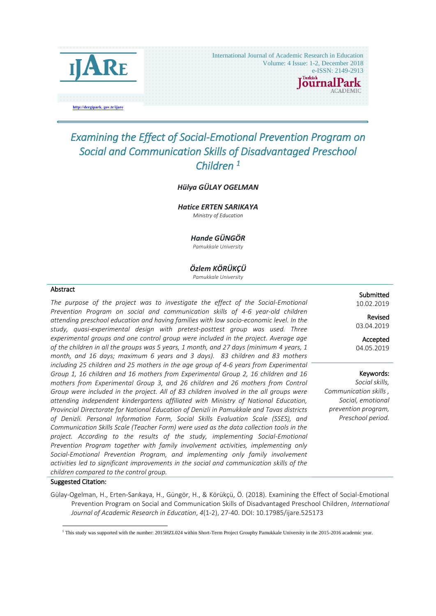

International Journal of Academic Research in Education Volume: 4 Issue: 1-2, December 2018

# e-ISSN:  $2149-2913$ alPark

**http://dergipark. gov.tr/ijare**

# *Examining the Effect of Social-Emotional Prevention Program on Social and Communication Skills of Disadvantaged Preschool Children 1*

## *Hülya GÜLAY OGELMAN*

*Hatice ERTEN SARIKAYA Ministry of Education*

#### *Hande GÜNGÖR*

*Pamukkale University*

#### *Özlem KÖRÜKÇÜ*

*Pamukkale University*

#### Abstract

j

*The purpose of the project was to investigate the effect of the Social-Emotional Prevention Program on social and communication skills of 4-6 year-old children attending preschool education and having families with low socio-economic level. In the study, quasi-experimental design with pretest-posttest group was used. Three experimental groups and one control group were included in the project. Average age of the children in all the groups was 5 years, 1 month, and 27 days (minimum 4 years, 1 month, and 16 days; maximum 6 years and 3 days). 83 children and 83 mothers including 25 children and 25 mothers in the age group of 4-6 years from Experimental Group 1, 16 children and 16 mothers from Experimental Group 2, 16 children and 16 mothers from Experimental Group 3, and 26 children and 26 mothers from Control Group were included in the project. All of 83 children involved in the all groups were attending independent kindergartens affiliated with Ministry of National Education, Provincial Directorate for National Education of Denizli in Pamukkale and Tavas districts of Denizli. Personal Information Form, Social Skills Evaluation Scale (SSES), and Communication Skills Scale (Teacher Form) were used as the data collection tools in the project. According to the results of the study, implementing Social-Emotional Prevention Program together with family involvement activities, implementing only Social-Emotional Prevention Program, and implementing only family involvement activities led to significant improvements in the social and communication skills of the children compared to the control group.* 

#### **Submitted** 10.02.2019

Revised 03.04.2019

Accepted 04.05.2019

## Keywords:

*Social skills, Communication skills , Social, emotional prevention program, Preschool period.* 

#### Suggested Citation:

-

Gülay-Ogelman, H., Erten-Sarıkaya, H., Güngör, H., & Körükçü, Ö. (2018). Examining the Effect of Social-Emotional Prevention Program on Social and Communication Skills of Disadvantaged Preschool Children, *International Journal of Academic Research in Education*, *4*(1-2), 27-40. DOI: 10.17985/ijare.525173

<sup>&</sup>lt;sup>1</sup> This study was supported with the number: 2015HZL024 within Short-Term Project Groupby Pamukkale University in the 2015-2016 academic year.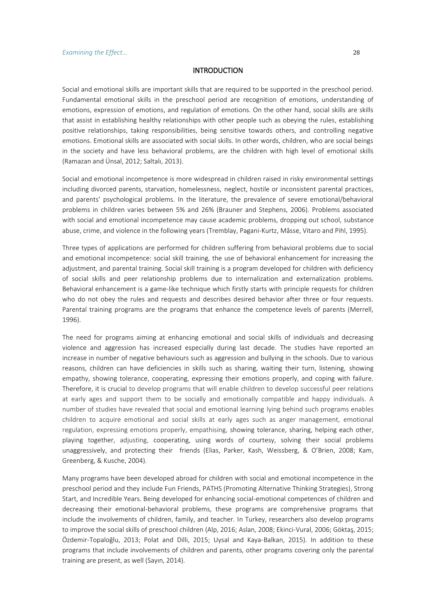# INTRODUCTION

Social and emotional skills are important skills that are required to be supported in the preschool period. Fundamental emotional skills in the preschool period are recognition of emotions, understanding of emotions, expression of emotions, and regulation of emotions. On the other hand, social skills are skills that assist in establishing healthy relationships with other people such as obeying the rules, establishing positive relationships, taking responsibilities, being sensitive towards others, and controlling negative emotions. Emotional skills are associated with social skills. In other words, children, who are social beings in the society and have less behavioral problems, are the children with high level of emotional skills (Ramazan and Ünsal, 2012; Saltalı, 2013).

Social and emotional incompetence is more widespread in children raised in risky environmental settings including divorced parents, starvation, homelessness, neglect, hostile or inconsistent parental practices, and parents' psychological problems. In the literature, the prevalence of severe emotional/behavioral problems in children varies between 5% and 26% (Brauner and Stephens, 2006). Problems associated with social and emotional incompetence may cause academic problems, dropping out school, substance abuse, crime, and violence in the following years (Tremblay, Pagani-Kurtz, Mâsse, Vitaro and Pihl, 1995).

Three types of applications are performed for children suffering from behavioral problems due to social and emotional incompetence: social skill training, the use of behavioral enhancement for increasing the adjustment, and parental training. Social skill training is a program developed for children with deficiency of social skills and peer relationship problems due to internalization and externalization problems. Behavioral enhancement is a game-like technique which firstly starts with principle requests for children who do not obey the rules and requests and describes desired behavior after three or four requests. Parental training programs are the programs that enhance the competence levels of parents (Merrell, 1996).

The need for programs aiming at enhancing emotional and social skills of individuals and decreasing violence and aggression has increased especially during last decade. The studies have reported an increase in number of negative behaviours such as aggression and bullying in the schools. Due to various reasons, children can have deficiencies in skills such as sharing, waiting their turn, listening, showing empathy, showing tolerance, cooperating, expressing their emotions properly, and coping with failure. Therefore, it is crucial to develop programs that will enable children to develop successful peer relations at early ages and support them to be socially and emotionally compatible and happy individuals. A number of studies have revealed that social and emotional learning lying behind such programs enables children to acquire emotional and social skills at early ages such as anger management, emotional regulation, expressing emotions properly, empathising, showing tolerance, sharing, helping each other, playing together, adjusting, cooperating, using words of courtesy, solving their social problems unaggressively, and protecting their friends (Elias, Parker, Kash, Weissberg, & O'Brien, 2008; Kam, Greenberg, & Kusche, 2004).

Many programs have been developed abroad for children with social and emotional incompetence in the preschool period and they include Fun Friends, PATHS (Promoting Alternative Thinking Strategies), Strong Start, and Incredible Years. Being developed for enhancing social-emotional competences of children and decreasing their emotional-behavioral problems, these programs are comprehensive programs that include the involvements of children, family, and teacher. In Turkey, researchers also develop programs to improve the social skills of preschool children (Alp, 2016; Aslan, 2008; Ekinci-Vural, 2006; Göktaş, 2015; Özdemir-Topaloğlu, 2013; Polat and Dilli, 2015; Uysal and Kaya-Balkan, 2015). In addition to these programs that include involvements of children and parents, other programs covering only the parental training are present, as well (Sayın, 2014).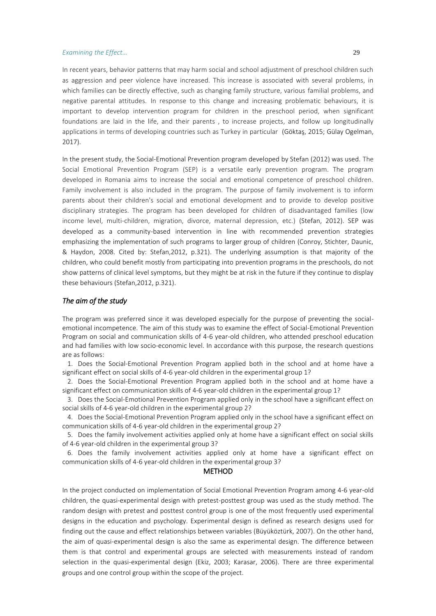In recent years, behavior patterns that may harm social and school adjustment of preschool children such as aggression and peer violence have increased. This increase is associated with several problems, in which families can be directly effective, such as changing family structure, various familial problems, and negative parental attitudes. In response to this change and increasing problematic behaviours, it is important to develop intervention program for children in the preschool period, when significant foundations are laid in the life, and their parents , to increase projects, and follow up longitudinally applications in terms of developing countries such as Turkey in particular (Göktaş, 2015; Gülay Ogelman, 2017).

In the present study, the Social-Emotional Prevention program developed by Stefan (2012) was used. The Social Emotional Prevention Program (SEP) is a versatile early prevention program. The program developed in Romania aims to increase the social and emotional competence of preschool children. Family involvement is also included in the program. The purpose of family involvement is to inform parents about their children's social and emotional development and to provide to develop positive disciplinary strategies. The program has been developed for children of disadvantaged families (low income level, multi-children, migration, divorce, maternal depression, etc.) (Stefan, 2012). SEP was developed as a community-based intervention in line with recommended prevention strategies emphasizing the implementation of such programs to larger group of children (Conroy, Stichter, Daunic, & Haydon, 2008. Cited by: Stefan,2012, p.321). The underlying assumption is that majority of the children, who could benefit mostly from participating into prevention programs in the preschools, do not show patterns of clinical level symptoms, but they might be at risk in the future if they continue to display these behaviours (Stefan,2012, p.321).

## *The aim of the study*

The program was preferred since it was developed especially for the purpose of preventing the socialemotional incompetence. The aim of this study was to examine the effect of Social-Emotional Prevention Program on social and communication skills of 4-6 year-old children, who attended preschool education and had families with low socio-economic level. In accordance with this purpose, the research questions are as follows:

1. Does the Social-Emotional Prevention Program applied both in the school and at home have a significant effect on social skills of 4-6 year-old children in the experimental group 1?

2. Does the Social-Emotional Prevention Program applied both in the school and at home have a significant effect on communication skills of 4-6 year-old children in the experimental group 1?

3. Does the Social-Emotional Prevention Program applied only in the school have a significant effect on social skills of 4-6 year-old children in the experimental group 2?

4. Does the Social-Emotional Prevention Program applied only in the school have a significant effect on communication skills of 4-6 year-old children in the experimental group 2?

5. Does the family involvement activities applied only at home have a significant effect on social skills of 4-6 year-old children in the experimental group 3?

6. Does the family involvement activities applied only at home have a significant effect on communication skills of 4-6 year-old children in the experimental group 3?

## METHOD

In the project conducted on implementation of Social Emotional Prevention Program among 4-6 year-old children, the quasi-experimental design with pretest-posttest group was used as the study method. The random design with pretest and posttest control group is one of the most frequently used experimental designs in the education and psychology. Experimental design is defined as research designs used for finding out the cause and effect relationships between variables (Büyüköztürk, 2007). On the other hand, the aim of quasi-experimental design is also the same as experimental design. The difference between them is that control and experimental groups are selected with measurements instead of random selection in the quasi-experimental design (Ekiz, 2003; Karasar, 2006). There are three experimental groups and one control group within the scope of the project.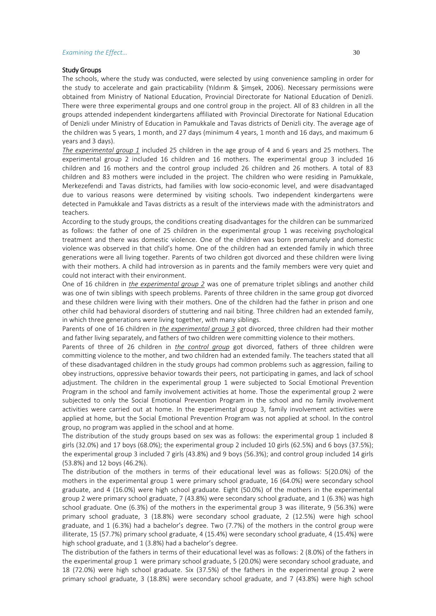#### Study Groups

The schools, where the study was conducted, were selected by using convenience sampling in order for the study to accelerate and gain practicability (Yıldırım & Şimşek, 2006). Necessary permissions were obtained from Ministry of National Education, Provincial Directorate for National Education of Denizli. There were three experimental groups and one control group in the project. All of 83 children in all the groups attended independent kindergartens affiliated with Provincial Directorate for National Education of Denizli under Ministry of Education in Pamukkale and Tavas districts of Denizli city. The average age of the children was 5 years, 1 month, and 27 days (minimum 4 years, 1 month and 16 days, and maximum 6 years and 3 days).

*The experimental group 1* included 25 children in the age group of 4 and 6 years and 25 mothers. The experimental group 2 included 16 children and 16 mothers. The experimental group 3 included 16 children and 16 mothers and the control group included 26 children and 26 mothers. A total of 83 children and 83 mothers were included in the project. The children who were residing in Pamukkale, Merkezefendi and Tavas districts, had families with low socio-economic level, and were disadvantaged due to various reasons were determined by visiting schools. Two independent kindergartens were detected in Pamukkale and Tavas districts as a result of the interviews made with the administrators and teachers.

According to the study groups, the conditions creating disadvantages for the children can be summarized as follows: the father of one of 25 children in the experimental group 1 was receiving psychological treatment and there was domestic violence. One of the children was born prematurely and domestic violence was observed in that child's home. One of the children had an extended family in which three generations were all living together. Parents of two children got divorced and these children were living with their mothers. A child had introversion as in parents and the family members were very quiet and could not interact with their environment.

One of 16 children in *the experimental group 2* was one of premature triplet siblings and another child was one of twin siblings with speech problems. Parents of three children in the same group got divorced and these children were living with their mothers. One of the children had the father in prison and one other child had behavioral disorders of stuttering and nail biting. Three children had an extended family, in which three generations were living together, with many siblings.

Parents of one of 16 children in *the experimental group 3* got divorced, three children had their mother and father living separately, and fathers of two children were committing violence to their mothers.

Parents of three of 26 children in *the control group* got divorced, fathers of three children were committing violence to the mother, and two children had an extended family. The teachers stated that all of these disadvantaged children in the study groups had common problems such as aggression, failing to obey instructions, oppressive behavior towards their peers, not participating in games, and lack of school adjustment. The children in the experimental group 1 were subjected to Social Emotional Prevention Program in the school and family involvement activities at home. Those the experimental group 2 were subjected to only the Social Emotional Prevention Program in the school and no family involvement activities were carried out at home. In the experimental group 3, family involvement activities were applied at home, but the Social Emotional Prevention Program was not applied at school. In the control group, no program was applied in the school and at home.

The distribution of the study groups based on sex was as follows: the experimental group 1 included 8 girls (32.0%) and 17 boys (68.0%); the experimental group 2 included 10 girls (62.5%) and 6 boys (37.5%); the experimental group 3 included 7 girls (43.8%) and 9 boys (56.3%); and control group included 14 girls (53.8%) and 12 boys (46.2%).

The distribution of the mothers in terms of their educational level was as follows: 5(20.0%) of the mothers in the experimental group 1 were primary school graduate, 16 (64.0%) were secondary school graduate, and 4 (16.0%) were high school graduate. Eight (50.0%) of the mothers in the experimental group 2 were primary school graduate, 7 (43.8%) were secondary school graduate, and 1 (6.3%) was high school graduate. One (6.3%) of the mothers in the experimental group 3 was illiterate, 9 (56.3%) were primary school graduate, 3 (18.8%) were secondary school graduate, 2 (12.5%) were high school graduate, and 1 (6.3%) had a bachelor's degree. Two (7.7%) of the mothers in the control group were illiterate, 15 (57.7%) primary school graduate, 4 (15.4%) were secondary school graduate, 4 (15.4%) were high school graduate, and 1 (3.8%) had a bachelor's degree.

The distribution of the fathers in terms of their educational level was as follows: 2 (8.0%) of the fathers in the experimental group 1 were primary school graduate, 5 (20.0%) were secondary school graduate, and 18 (72.0%) were high school graduate. Six (37.5%) of the fathers in the experimental group 2 were primary school graduate, 3 (18.8%) were secondary school graduate, and 7 (43.8%) were high school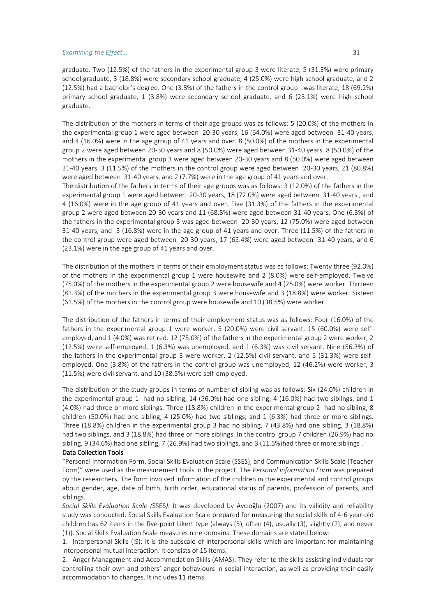graduate. Two (12.5%) of the fathers in the experimental group 3 were literate, 5 (31.3%) were primary school graduate, 3 (18.8%) were secondary school graduate, 4 (25.0%) were high school graduate, and 2 (12.5%) had a bachelor's degree. One (3.8%) of the fathers in the control group was literate, 18 (69.2%) primary school graduate, 1 (3.8%) were secondary school graduate, and 6 (23.1%) were high school graduate.

The distribution of the mothers in terms of their age groups was as follows: 5 (20.0%) of the mothers in the experimental group 1 were aged between 20-30 years, 16 (64.0%) were aged between 31-40 years, and 4 (16.0%) were in the age group of 41 years and over. 8 (50.0%) of the mothers in the experimental group 2 were aged between 20-30 years and 8 (50.0%) were aged between 31-40 years. 8 (50.0%) of the mothers in the experimental group 3 were aged between 20-30 years and 8 (50.0%) were aged between 31-40 years. 3 (11.5%) of the mothers in the control group were aged between 20-30 years, 21 (80.8%) were aged between 31-40 years, and 2 (7.7%) were in the age group of 41 years and over.

The distribution of the fathers in terms of their age groups was as follows: 3 (12.0%) of the fathers in the experimental group 1 were aged between 20-30 years, 18 (72.0%) were aged between 31-40 years , and 4 (16.0%) were in the age group of 41 years and over. Five (31.3%) of the fathers in the experimental group 2 were aged between 20-30 years and 11 (68.8%) were aged between 31-40 years. One (6.3%) of the fathers in the experimental group 3 was aged between 20-30 years, 12 (75.0%) were aged between 31-40 years, and 3 (16.8%) were in the age group of 41 years and over. Three (11.5%) of the fathers in the control group were aged between 20-30 years, 17 (65.4%) were aged between 31-40 years, and 6 (23.1%) were in the age group of 41 years and over.

The distribution of the mothers in terms of their employment status was as follows: Twenty three (92.0%) of the mothers in the experimental group 1 were housewife and 2 (8.0%) were self-employed. Twelve (75.0%) of the mothers in the experimental group 2 were housewife and 4 (25.0%) were worker. Thirteen (81.3%) of the mothers in the experimental group 3 were housewife and 3 (18.8%) were worker. Sixteen (61.5%) of the mothers in the control group were housewife and 10 (38.5%) were worker.

The distribution of the fathers in terms of their employment status was as follows: Four (16.0%) of the fathers in the experimental group 1 were worker, 5 (20.0%) were civil servant, 15 (60.0%) were selfemployed, and 1 (4.0%) was retired. 12 (75.0%) of the fathers in the experimental group 2 were worker, 2 (12.5%) were self-employed, 1 (6.3%) was unemployed, and 1 (6.3%) was civil servant. Nine (56.3%) of the fathers in the experimental group 3 were worker, 2 (12.5%) civil servant, and 5 (31.3%) were selfemployed. One (3.8%) of the fathers in the control group was unemployed, 12 (46.2%) were worker, 3 (11.5%) were civil servant, and 10 (38.5%) were self-employed.

The distribution of the study groups in terms of number of sibling was as follows: Six (24.0%) children in the experimental group 1 had no sibling, 14 (56.0%) had one sibling, 4 (16.0%) had two siblings, and 1 (4.0%) had three or more siblings. Three (18.8%) children in the experimental group 2 had no sibling, 8 children (50.0%) had one sibling, 4 (25.0%) had two siblings, and 1 (6.3%) had three or more siblings. Three (18.8%) children in the experimental group 3 had no sibling, 7 (43.8%) had one sibling, 3 (18.8%) had two siblings, and 3 (18.8%) had three or more siblings. In the control group 7 children (26.9%) had no sibling, 9 (34.6%) had one sibling, 7 (26.9%) had two siblings, and 3 (11.5%)had three or more siblings .

#### Data Collection Tools

"Personal Information Form, Social Skills Evaluation Scale (SSES), and Communication Skills Scale (Teacher Form)" were used as the measurement tools in the project. The *Personal Information Form* was prepared by the researchers. The form involved information of the children in the experimental and control groups about gender, age, date of birth, birth order, educational status of parents, profession of parents, and siblings.

*Social Skills Evaluation Scale (*SSES*):* It was developed by Avcıoğlu (2007) and its validity and reliability study was conducted. Social Skills Evaluation Scale prepared for measuring the social skills of 4-6 year-old children has 62 items in the five-point Likert type (always (5), often (4), usually (3), slightly (2), and never (1)). Social Skills Evaluation Scale measures nine domains. These domains are stated below:

1. Interpersonal Skills (IS): It is the subscale of interpersonal skills which are important for maintaining interpersonal mutual interaction. It consists of 15 items.

2. Anger Management and Accommodation Skills (AMAS): They refer to the skills assisting individuals for controlling their own and others' anger behaviours in social interaction, as well as providing their easily accommodation to changes. It includes 11 items.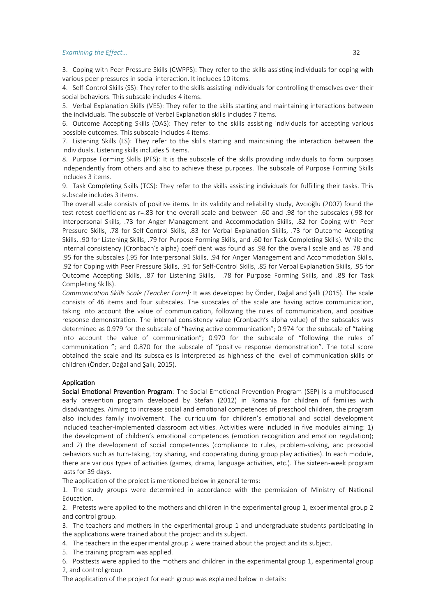3. Coping with Peer Pressure Skills (CWPPS): They refer to the skills assisting individuals for coping with various peer pressures in social interaction. It includes 10 items.

4. Self-Control Skills (SS): They refer to the skills assisting individuals for controlling themselves over their social behaviors. This subscale includes 4 items.

5. Verbal Explanation Skills (VES): They refer to the skills starting and maintaining interactions between the individuals. The subscale of Verbal Explanation skills includes 7 items.

6. Outcome Accepting Skills (OAS): They refer to the skills assisting individuals for accepting various possible outcomes. This subscale includes 4 items.

7. Listening Skills (LS): They refer to the skills starting and maintaining the interaction between the individuals. Listening skills includes 5 items.

8. Purpose Forming Skills (PFS): It is the subscale of the skills providing individuals to form purposes independently from others and also to achieve these purposes. The subscale of Purpose Forming Skills includes 3 items.

9. Task Completing Skills (TCS): They refer to the skills assisting individuals for fulfilling their tasks. This subscale includes 3 items.

The overall scale consists of positive items. In its validity and reliability study, Avcıoğlu (2007) found the test-retest coefficient as r=.83 for the overall scale and between .60 and .98 for the subscales (.98 for Interpersonal Skills, .73 for Anger Management and Accommodation Skills, .82 for Coping with Peer Pressure Skills, .78 for Self-Control Skills, .83 for Verbal Explanation Skills, .73 for Outcome Accepting Skills, .90 for Listening Skills, .79 for Purpose Forming Skills, and .60 for Task Completing Skills). While the internal consistency (Cronbach's alpha) coefficient was found as .98 for the overall scale and as .78 and .95 for the subscales (.95 for Interpersonal Skills, .94 for Anger Management and Accommodation Skills, .92 for Coping with Peer Pressure Skills, .91 for Self-Control Skills, .85 for Verbal Explanation Skills, .95 for Outcome Accepting Skills, .87 for Listening Skills, .78 for Purpose Forming Skills, and .88 for Task Completing Skills).

*Communication Skills Scale (Teacher Form):* It was developed by Önder, Dağal and Şallı (2015). The scale consists of 46 items and four subscales. The subscales of the scale are having active communication, taking into account the value of communication, following the rules of communication, and positive response demonstration. The internal consistency value (Cronbach's alpha value) of the subscales was determined as 0.979 for the subscale of "having active communication"; 0.974 for the subscale of "taking into account the value of communication"; 0.970 for the subscale of "following the rules of communication "; and 0.870 for the subscale of "positive response demonstration". The total score obtained the scale and its subscales is interpreted as highness of the level of communication skills of children (Önder, Dağal and Şallı, 2015).

#### Application

Social Emotional Prevention Program: The Social Emotional Prevention Program (SEP) is a multifocused early prevention program developed by Stefan (2012) in Romania for children of families with disadvantages. Aiming to increase social and emotional competences of preschool children, the program also includes family involvement. The curriculum for children's emotional and social development included teacher-implemented classroom activities. Activities were included in five modules aiming: 1) the development of children's emotional competences (emotion recognition and emotion regulation); and 2) the development of social competences (compliance to rules, problem-solving, and prosocial behaviors such as turn-taking, toy sharing, and cooperating during group play activities). In each module, there are various types of activities (games, drama, language activities, etc.). The sixteen-week program lasts for 39 days.

The application of the project is mentioned below in general terms:

1. The study groups were determined in accordance with the permission of Ministry of National Education.

2. Pretests were applied to the mothers and children in the experimental group 1, experimental group 2 and control group.

3. The teachers and mothers in the experimental group 1 and undergraduate students participating in the applications were trained about the project and its subject.

4. The teachers in the experimental group 2 were trained about the project and its subject.

5. The training program was applied.

6. Posttests were applied to the mothers and children in the experimental group 1, experimental group 2, and control group.

The application of the project for each group was explained below in details: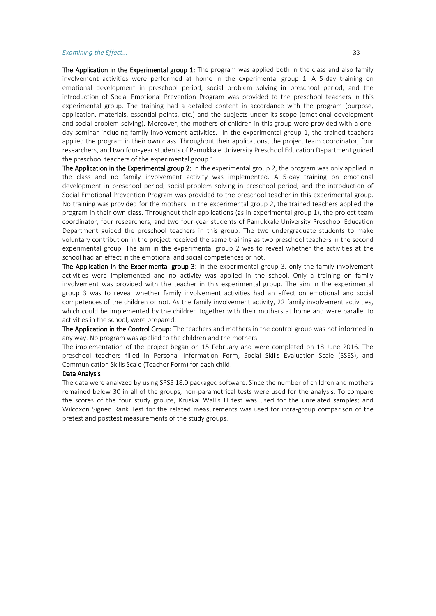The Application in the Experimental group 1: The program was applied both in the class and also family involvement activities were performed at home in the experimental group 1. A 5-day training on emotional development in preschool period, social problem solving in preschool period, and the introduction of Social Emotional Prevention Program was provided to the preschool teachers in this experimental group. The training had a detailed content in accordance with the program (purpose, application, materials, essential points, etc.) and the subjects under its scope (emotional development and social problem solving). Moreover, the mothers of children in this group were provided with a oneday seminar including family involvement activities. In the experimental group 1, the trained teachers applied the program in their own class. Throughout their applications, the project team coordinator, four researchers, and two four-year students of Pamukkale University Preschool Education Department guided the preschool teachers of the experimental group 1.

The Application in the Experimental group 2: In the experimental group 2, the program was only applied in the class and no family involvement activity was implemented. A 5-day training on emotional development in preschool period, social problem solving in preschool period, and the introduction of Social Emotional Prevention Program was provided to the preschool teacher in this experimental group. No training was provided for the mothers. In the experimental group 2, the trained teachers applied the program in their own class. Throughout their applications (as in experimental group 1), the project team coordinator, four researchers, and two four-year students of Pamukkale University Preschool Education Department guided the preschool teachers in this group. The two undergraduate students to make voluntary contribution in the project received the same training as two preschool teachers in the second experimental group. The aim in the experimental group 2 was to reveal whether the activities at the school had an effect in the emotional and social competences or not.

The Application in the Experimental group 3: In the experimental group 3, only the family involvement activities were implemented and no activity was applied in the school. Only a training on family involvement was provided with the teacher in this experimental group. The aim in the experimental group 3 was to reveal whether family involvement activities had an effect on emotional and social competences of the children or not. As the family involvement activity, 22 family involvement activities, which could be implemented by the children together with their mothers at home and were parallel to activities in the school, were prepared.

The Application in the Control Group: The teachers and mothers in the control group was not informed in any way. No program was applied to the children and the mothers.

The implementation of the project began on 15 February and were completed on 18 June 2016. The preschool teachers filled in Personal Information Form, Social Skills Evaluation Scale (SSES), and Communication Skills Scale (Teacher Form) for each child.

#### Data Analysis

The data were analyzed by using SPSS 18.0 packaged software. Since the number of children and mothers remained below 30 in all of the groups, non-parametrical tests were used for the analysis. To compare the scores of the four study groups, Kruskal Wallis H test was used for the unrelated samples; and Wilcoxon Signed Rank Test for the related measurements was used for intra-group comparison of the pretest and posttest measurements of the study groups.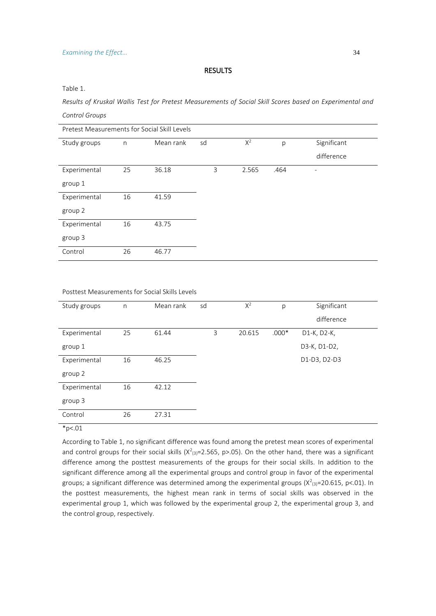# RESULTS

Table 1.

*Results of Kruskal Wallis Test for Pretest Measurements of Social Skill Scores based on Experimental and Control Groups*

| Pretest Measurements for Social Skill Levels |              |           |    |       |      |             |  |  |
|----------------------------------------------|--------------|-----------|----|-------|------|-------------|--|--|
| Study groups                                 | $\mathsf{n}$ | Mean rank | sd | $X^2$ | p    | Significant |  |  |
|                                              |              |           |    |       |      | difference  |  |  |
| Experimental                                 | 25           | 36.18     | 3  | 2.565 | .464 |             |  |  |
| group 1                                      |              |           |    |       |      |             |  |  |
| Experimental                                 | 16           | 41.59     |    |       |      |             |  |  |
| group 2                                      |              |           |    |       |      |             |  |  |
| Experimental                                 | 16           | 43.75     |    |       |      |             |  |  |
| group 3                                      |              |           |    |       |      |             |  |  |
| Control                                      | 26           | 46.77     |    |       |      |             |  |  |

#### Posttest Measurements for Social Skills Levels

| Study groups | n  | Mean rank | sd | $X^2$  | p       | Significant  |
|--------------|----|-----------|----|--------|---------|--------------|
|              |    |           |    |        |         | difference   |
| Experimental | 25 | 61.44     | 3  | 20.615 | $.000*$ | D1-K, D2-K,  |
| group 1      |    |           |    |        |         | D3-K, D1-D2, |
| Experimental | 16 | 46.25     |    |        |         | D1-D3, D2-D3 |
| group 2      |    |           |    |        |         |              |
| Experimental | 16 | 42.12     |    |        |         |              |
| group 3      |    |           |    |        |         |              |
| Control      | 26 | 27.31     |    |        |         |              |

 $*p<.01$ 

According to Table 1, no significant difference was found among the pretest mean scores of experimental and control groups for their social skills  $(X<sup>2</sup>(3) = 2.565, p > .05)$ . On the other hand, there was a significant difference among the posttest measurements of the groups for their social skills. In addition to the significant difference among all the experimental groups and control group in favor of the experimental groups; a significant difference was determined among the experimental groups ( $X^2$ <sub>(3)</sub>=20.615, p<.01). In the posttest measurements, the highest mean rank in terms of social skills was observed in the experimental group 1, which was followed by the experimental group 2, the experimental group 3, and the control group, respectively.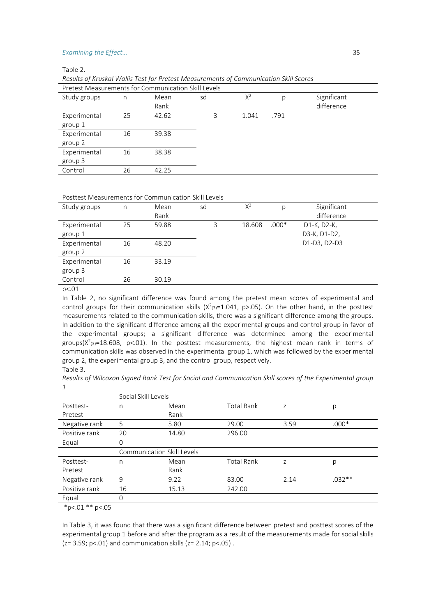Table 2.

*Results of Kruskal Wallis Test for Pretest Measurements of Communication Skill Scores* 

| Pretest Measurements for Communication Skill Levels |    |       |    |       |      |             |  |  |  |
|-----------------------------------------------------|----|-------|----|-------|------|-------------|--|--|--|
| Study groups                                        | n  | Mean  | sd | $X^2$ | p    | Significant |  |  |  |
|                                                     |    | Rank  |    |       |      | difference  |  |  |  |
| Experimental                                        | 25 | 42.62 | 3  | 1.041 | .791 |             |  |  |  |
| group 1                                             |    |       |    |       |      |             |  |  |  |
| Experimental                                        | 16 | 39.38 |    |       |      |             |  |  |  |
| group 2                                             |    |       |    |       |      |             |  |  |  |
| Experimental                                        | 16 | 38.38 |    |       |      |             |  |  |  |
| group 3                                             |    |       |    |       |      |             |  |  |  |
| Control                                             | 26 | 42.25 |    |       |      |             |  |  |  |
|                                                     |    |       |    |       |      |             |  |  |  |

#### Posttest Measurements for Communication Skill Levels

| Study groups        | n  | Mean  | sd | $X^2$  | р       | Significant  |  |
|---------------------|----|-------|----|--------|---------|--------------|--|
|                     |    | Rank  |    |        |         | difference   |  |
| Experimental        | 25 | 59.88 | 3  | 18.608 | $.000*$ | D1-K, D2-K,  |  |
| group 1             |    |       |    |        |         | D3-K, D1-D2, |  |
| Experimental        | 16 | 48.20 |    |        |         | D1-D3, D2-D3 |  |
| group 2             |    |       |    |        |         |              |  |
| Experimental        | 16 | 33.19 |    |        |         |              |  |
| group 3             |    |       |    |        |         |              |  |
| Control             | 26 | 30.19 |    |        |         |              |  |
| $\cdots$ $\sim$ 0.1 |    |       |    |        |         |              |  |

p<.01

In Table 2, no significant difference was found among the pretest mean scores of experimental and control groups for their communication skills  $(X^2_{(3)}=1.041, p>0.05)$ . On the other hand, in the posttest measurements related to the communication skills, there was a significant difference among the groups. In addition to the significant difference among all the experimental groups and control group in favor of the experimental groups; a significant difference was determined among the experimental groups( $X^2$ <sub>(3)</sub>=18.608, p<.01). In the posttest measurements, the highest mean rank in terms of communication skills was observed in the experimental group 1, which was followed by the experimental group 2, the experimental group 3, and the control group, respectively. Table 3.

*Results of Wilcoxon Signed Rank Test for Social and Communication Skill scores of the Experimental group 1*

|               | Social Skill Levels |                                   |                   |      |          |  |  |  |
|---------------|---------------------|-----------------------------------|-------------------|------|----------|--|--|--|
| Posttest-     | n                   | Mean                              | <b>Total Rank</b> | Z    | р        |  |  |  |
| Pretest       |                     | Rank                              |                   |      |          |  |  |  |
| Negative rank | 5                   | 5.80                              | 29.00             | 3.59 | $.000*$  |  |  |  |
| Positive rank | 20                  | 14.80                             | 296.00            |      |          |  |  |  |
| Equal         | 0                   |                                   |                   |      |          |  |  |  |
|               |                     | <b>Communication Skill Levels</b> |                   |      |          |  |  |  |
| Posttest-     | n                   | Mean                              | <b>Total Rank</b> | Z    | р        |  |  |  |
| Pretest       |                     | Rank                              |                   |      |          |  |  |  |
| Negative rank | 9                   | 9.22                              | 83.00             | 2.14 | $.032**$ |  |  |  |
| Positive rank | 16                  | 15.13                             | 242.00            |      |          |  |  |  |
| Equal         | 0                   |                                   |                   |      |          |  |  |  |
|               |                     |                                   |                   |      |          |  |  |  |

 $*p<.01 **p<.05$ 

In Table 3, it was found that there was a significant difference between pretest and posttest scores of the experimental group 1 before and after the program as a result of the measurements made for social skills  $(z= 3.59; p<.01)$  and communication skills  $(z= 2.14; p<.05)$ .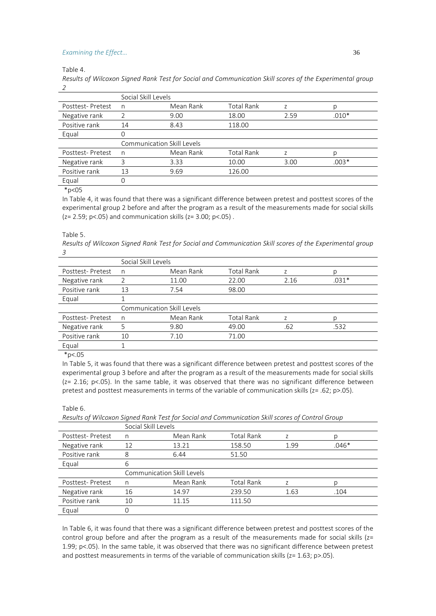Table 4.

*Results of Wilcoxon Signed Rank Test for Social and Communication Skill scores of the Experimental group 2*

|                  | Social Skill Levels               |           |                   |      |         |  |  |  |
|------------------|-----------------------------------|-----------|-------------------|------|---------|--|--|--|
| Posttest-Pretest | n                                 | Mean Rank | <b>Total Rank</b> |      |         |  |  |  |
| Negative rank    | $\mathcal{P}$                     | 9.00      | 18.00             | 2.59 | $.010*$ |  |  |  |
| Positive rank    | 14                                | 8.43      | 118.00            |      |         |  |  |  |
| Equal            |                                   |           |                   |      |         |  |  |  |
|                  | <b>Communication Skill Levels</b> |           |                   |      |         |  |  |  |
| Posttest-Pretest | n                                 | Mean Rank | <b>Total Rank</b> |      |         |  |  |  |
| Negative rank    | 3                                 | 3.33      | 10.00             | 3.00 | $.003*$ |  |  |  |
|                  |                                   |           |                   |      |         |  |  |  |
| Positive rank    | 13                                | 9.69      | 126.00            |      |         |  |  |  |
| Equal            |                                   |           |                   |      |         |  |  |  |

 $*p<05$ 

In Table 4, it was found that there was a significant difference between pretest and posttest scores of the experimental group 2 before and after the program as a result of the measurements made for social skills  $(z= 2.59; p< .05)$  and communication skills  $(z= 3.00; p< .05)$ .

Table 5.

*Results of Wilcoxon Signed Rank Test for Social and Communication Skill scores of the Experimental group 3*

|                  | Social Skill Levels        |           |                   |      |         |  |  |  |
|------------------|----------------------------|-----------|-------------------|------|---------|--|--|--|
| Posttest-Pretest | n                          | Mean Rank | <b>Total Rank</b> |      |         |  |  |  |
| Negative rank    |                            | 11.00     | 22.00             | 2.16 | $.031*$ |  |  |  |
| Positive rank    | 13                         | 7.54      | 98.00             |      |         |  |  |  |
| Equal            |                            |           |                   |      |         |  |  |  |
|                  | Communication Skill Levels |           |                   |      |         |  |  |  |
|                  |                            |           |                   |      |         |  |  |  |
| Posttest-Pretest | n                          | Mean Rank | <b>Total Rank</b> | 7    |         |  |  |  |
| Negative rank    |                            | 9.80      | 49.00             | .62  | .532    |  |  |  |
| Positive rank    | 10                         | 7.10      | 71.00             |      |         |  |  |  |
| Equal            |                            |           |                   |      |         |  |  |  |

 $*p<.05$ 

In Table 5, it was found that there was a significant difference between pretest and posttest scores of the experimental group 3 before and after the program as a result of the measurements made for social skills  $(z= 2.16; p<05)$ . In the same table, it was observed that there was no significant difference between pretest and posttest measurements in terms of the variable of communication skills (z= .62; p>.05).

Table 6.

*Results of Wilcoxon Signed Rank Test for Social and Communication Skill scores of Control Group*

|                  | Social Skill Levels               |           |                   |      |         |  |  |  |
|------------------|-----------------------------------|-----------|-------------------|------|---------|--|--|--|
| Posttest-Pretest | n                                 | Mean Rank | <b>Total Rank</b> |      |         |  |  |  |
| Negative rank    | 12                                | 13.21     | 158.50            | 1.99 | $.046*$ |  |  |  |
| Positive rank    | 8                                 | 6.44      | 51.50             |      |         |  |  |  |
| Equal            | 6                                 |           |                   |      |         |  |  |  |
|                  | <b>Communication Skill Levels</b> |           |                   |      |         |  |  |  |
| Posttest-Pretest | n                                 | Mean Rank | <b>Total Rank</b> |      |         |  |  |  |
| Negative rank    | 16                                | 14.97     | 239.50            | 1.63 | .104    |  |  |  |
| Positive rank    | 10                                | 11.15     | 111.50            |      |         |  |  |  |
| Equal            | 0                                 |           |                   |      |         |  |  |  |

In Table 6, it was found that there was a significant difference between pretest and posttest scores of the control group before and after the program as a result of the measurements made for social skills  $(z=$ 1.99; p<.05). In the same table, it was observed that there was no significant difference between pretest and posttest measurements in terms of the variable of communication skills (z= 1.63; p>.05).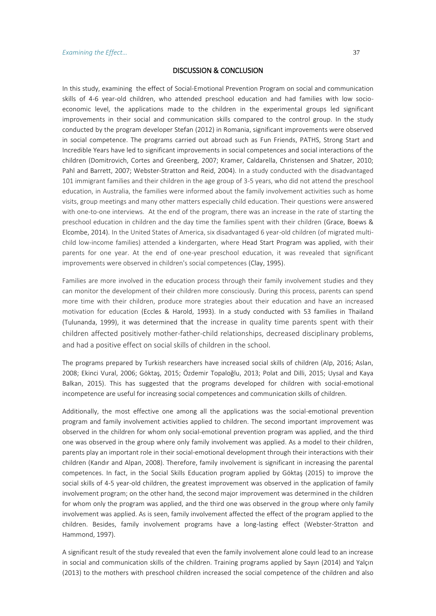# DISCUSSION & CONCLUSION

In this study, examining the effect of Social-Emotional Prevention Program on social and communication skills of 4-6 year-old children, who attended preschool education and had families with low socioeconomic level, the applications made to the children in the experimental groups led significant improvements in their social and communication skills compared to the control group. In the study conducted by the program developer Stefan (2012) in Romania, significant improvements were observed in social competence. The programs carried out abroad such as Fun Friends, PATHS, Strong Start and Incredible Years have led to significant improvements in social competences and social interactions of the children (Domitrovich, Cortes and Greenberg, 2007; Kramer, Caldarella, Christensen and Shatzer, 2010; Pahl and Barrett, 2007; Webster-Stratton and Reid, 2004). In a study conducted with the disadvantaged 101 immigrant families and their children in the age group of 3-5 years, who did not attend the preschool education, in Australia, the families were informed about the family involvement activities such as home visits, group meetings and many other matters especially child education. Their questions were answered with one-to-one interviews. At the end of the program, there was an increase in the rate of starting the preschool education in children and the day time the families spent with their children (Grace, Boews & Elcombe, 2014). In the United States of America, six disadvantaged 6 year-old children (of migrated multichild low-income families) attended a kindergarten, where Head Start Program was applied, with their parents for one year. At the end of one-year preschool education, it was revealed that significant improvements were observed in children's social competences (Clay, 1995).

Families are more involved in the education process through their family involvement studies and they can monitor the development of their children more consciously. During this process, parents can spend more time with their children, produce more strategies about their education and have an increased motivation for education (Eccles & Harold, 1993). In a study conducted with 53 families in Thailand (Tulunanda, 1999), it was determined that the increase in quality time parents spent with their children affected positively mother-father-child relationships, decreased disciplinary problems, and had a positive effect on social skills of children in the school.

The programs prepared by Turkish researchers have increased social skills of children (Alp, 2016; Aslan, 2008; Ekinci Vural, 2006; Göktaş, 2015; Özdemir Topaloğlu, 2013; Polat and Dilli, 2015; Uysal and Kaya Balkan, 2015). This has suggested that the programs developed for children with social-emotional incompetence are useful for increasing social competences and communication skills of children.

Additionally, the most effective one among all the applications was the social-emotional prevention program and family involvement activities applied to children. The second important improvement was observed in the children for whom only social-emotional prevention program was applied, and the third one was observed in the group where only family involvement was applied. As a model to their children, parents play an important role in their social-emotional development through their interactions with their children (Kandır and Alpan, 2008). Therefore, family involvement is significant in increasing the parental competences. In fact, in the Social Skills Education program applied by Göktaş (2015) to improve the social skills of 4-5 year-old children, the greatest improvement was observed in the application of family involvement program; on the other hand, the second major improvement was determined in the children for whom only the program was applied, and the third one was observed in the group where only family involvement was applied. As is seen, family involvement affected the effect of the program applied to the children. Besides, family involvement programs have a long-lasting effect (Webster-Stratton and Hammond, 1997).

A significant result of the study revealed that even the family involvement alone could lead to an increase in social and communication skills of the children. Training programs applied by Sayın (2014) and Yalçın (2013) to the mothers with preschool children increased the social competence of the children and also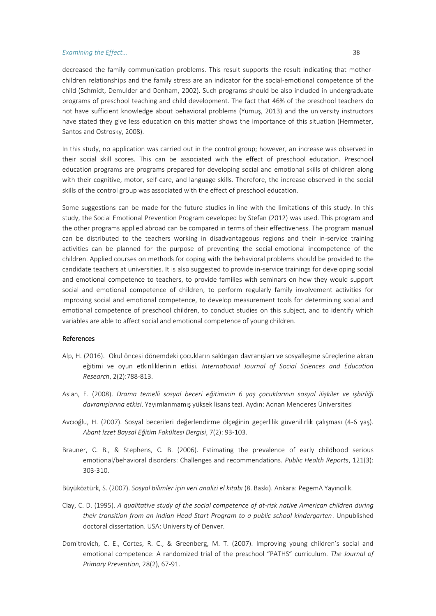decreased the family communication problems. This result supports the result indicating that motherchildren relationships and the family stress are an indicator for the social-emotional competence of the child (Schmidt, Demulder and Denham, 2002). Such programs should be also included in undergraduate programs of preschool teaching and child development. The fact that 46% of the preschool teachers do not have sufficient knowledge about behavioral problems (Yumuş, 2013) and the university instructors have stated they give less education on this matter shows the importance of this situation (Hemmeter, Santos and Ostrosky, 2008).

In this study, no application was carried out in the control group; however, an increase was observed in their social skill scores. This can be associated with the effect of preschool education. Preschool education programs are programs prepared for developing social and emotional skills of children along with their cognitive, motor, self-care, and language skills. Therefore, the increase observed in the social skills of the control group was associated with the effect of preschool education.

Some suggestions can be made for the future studies in line with the limitations of this study. In this study, the Social Emotional Prevention Program developed by Stefan (2012) was used. This program and the other programs applied abroad can be compared in terms of their effectiveness. The program manual can be distributed to the teachers working in disadvantageous regions and their in-service training activities can be planned for the purpose of preventing the social-emotional incompetence of the children. Applied courses on methods for coping with the behavioral problems should be provided to the candidate teachers at universities. It is also suggested to provide in-service trainings for developing social and emotional competence to teachers, to provide families with seminars on how they would support social and emotional competence of children, to perform regularly family involvement activities for improving social and emotional competence, to develop measurement tools for determining social and emotional competence of preschool children, to conduct studies on this subject, and to identify which variables are able to affect social and emotional competence of young children.

#### References

- Alp, H. (2016). Okul öncesi dönemdeki çocukların saldırgan davranışları ve sosyalleşme süreçlerine akran eğitimi ve oyun etkinliklerinin etkisi. *International Journal of Social Sciences and Education Research*, 2(2):788-813.
- Aslan, E. (2008). *Drama temelli sosyal beceri eğitiminin 6 yaş çocuklarının sosyal ilişkiler ve işbirliği davranışlarına etkisi*. Yayımlanmamış yüksek lisans tezi. Aydın: Adnan Menderes Üniversitesi
- Avcıoğlu, H. (2007). Sosyal becerileri değerlendirme ölçeğinin geçerlilik güvenilirlik çalışması (4-6 yaş). *Abant İzzet Baysal Eğitim Fakültesi Dergisi*, 7(2): 93-103.
- Brauner, C. B., & Stephens, C. B. (2006). Estimating the prevalence of early childhood serious emotional/behavioral disorders: Challenges and recommendations. *Public Health Reports*, 121(3): 303-310.
- Büyüköztürk, S. (2007). *Sosyal bilimler için veri analizi el kitabı* (8. Baskı). Ankara: PegemA Yayıncılık.
- Clay, C. D. (1995). *A qualitative study of the social competence of at-risk native American children during their transition from an Indian Head Start Program to a public school kindergarten*. Unpublished doctoral dissertation. USA: University of Denver.
- Domitrovich, C. E., Cortes, R. C., & Greenberg, M. T. (2007). Improving young children's social and emotional competence: A randomized trial of the preschool "PATHS" curriculum. *The Journal of Primary Prevention*, 28(2), 67-91.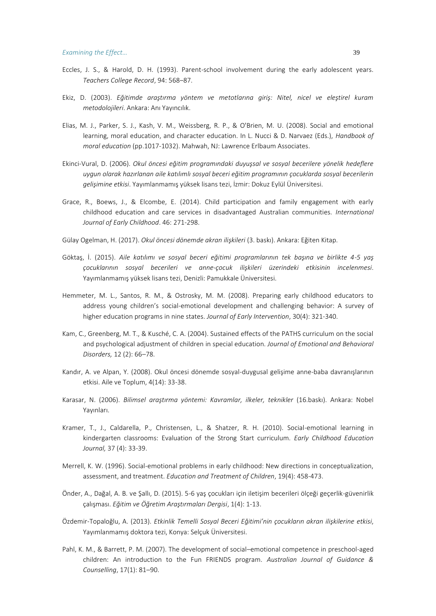- Eccles, J. S., & Harold, D. H. (1993). Parent-school involvement during the early adolescent years. *Teachers College Record*, 94: 568–87.
- Ekiz, D. (2003). *Eğitimde araştırma yöntem ve metotlarına giriş: Nitel, nicel ve eleştirel kuram metodolojileri*. Ankara: Anı Yayıncılık.
- Elias, M. J., Parker, S. J., Kash, V. M., Weissberg, R. P., & O'Brien, M. U. (2008). Social and emotional learning, moral education, and character education. In L. Nucci & D. Narvaez (Eds.), *Handbook of moral education* (pp.1017-1032). Mahwah, NJ: Lawrence Erlbaum Associates.
- Ekinci-Vural, D. (2006). *Okul öncesi eğitim programındaki duyuşsal ve sosyal becerilere yönelik hedeflere uygun olarak hazırlanan aile katılımlı sosyal beceri eğitim programının çocuklarda sosyal becerilerin gelişimine etkisi*. Yayımlanmamış yüksek lisans tezi, İzmir: Dokuz Eylül Üniversitesi.
- Grace, R., Boews, J., & Elcombe, E. (2014). Child participation and family engagement with early childhood education and care services in disadvantaged Australian communities. *International Journal of Early Childhood*. 46: 271-298.
- Gülay Ogelman, H. (2017). *Okul öncesi dönemde akran ilişkileri* (3. baskı). Ankara: Eğiten Kitap.
- Göktaş, İ. (2015). *Aile katılımı ve sosyal beceri eğitimi programlarının tek başına ve birlikte 4-5 yaş çocuklarının sosyal becerileri ve anne-çocuk ilişkileri üzerindeki etkisinin incelenmesi*. Yayımlanmamış yüksek lisans tezi, Denizli: Pamukkale Üniversitesi.
- Hemmeter, M. L., Santos, R. M., & Ostrosky, M. M. (2008). Preparing early childhood educators to address young children's social-emotional development and challenging behavior: A survey of higher education programs in nine states. *Journal of Early Intervention*, 30(4): 321-340.
- Kam, C., Greenberg, M. T., & Kusché, C. A. (2004). Sustained effects of the PATHS curriculum on the social and psychological adjustment of children in special education. *Journal of Emotional and Behavioral Disorders,* 12 (2): 66–78.
- Kandır, A. ve Alpan, Y. (2008). Okul öncesi dönemde sosyal-duygusal gelişime anne-baba davranışlarının etkisi. Aile ve Toplum, 4(14): 33-38.
- Karasar, N. (2006). *Bilimsel araştırma yöntemi: Kavramlar, ilkeler, teknikler* (16.baskı). Ankara: Nobel Yayınları.
- Kramer, T., J., Caldarella, P., Christensen, L., & Shatzer, R. H. (2010). Social-emotional learning in kindergarten classrooms: Evaluation of the Strong Start curriculum. *Early Childhood Education Journal,* 37 (4): 33-39.
- Merrell, K. W. (1996). Social-emotional problems in early childhood: New directions in conceptualization, assessment, and treatment. *Education and Treatment of Children*, 19(4): 458-473.
- Önder, A., Dağal, A. B. ve Şallı, D. (2015). 5-6 yaş çocukları için iletişim becerileri ölçeği geçerlik-güvenirlik çalışması. *Eğitim ve Öğretim Araştırmaları Dergisi*, 1(4): 1-13.
- Özdemir-Topaloğlu, A. (2013). *Etkinlik Temelli Sosyal Beceri Eğitimi'nin çocukların akran ilişkilerine etkisi*, Yayımlanmamış doktora tezi, Konya: Selçuk Üniversitesi.
- Pahl, K. M., & Barrett, P. M. (2007). The development of social–emotional competence in preschool-aged children: An introduction to the Fun FRIENDS program. *Australian Journal of Guidance & Counselling*, 17(1): 81–90.